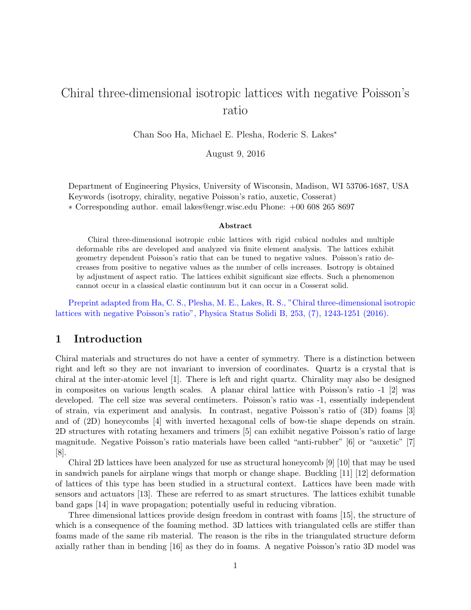# Chiral three-dimensional isotropic lattices with negative Poisson's ratio

Chan Soo Ha, Michael E. Plesha, Roderic S. Lakes<sup>\*</sup>

August 9, 2016

Department of Engineering Physics, University of Wisconsin, Madison, WI 53706-1687, USA Keywords (isotropy, chirality, negative Poisson's ratio, auxetic, Cosserat) ⇤ Corresponding author. email lakes@engr.wisc.edu Phone: +00 608 265 8697

#### Abstract

Chiral three-dimensional isotropic cubic lattices with rigid cubical nodules and multiple deformable ribs are developed and analyzed via finite element analysis. The lattices exhibit geometry dependent Poisson's ratio that can be tuned to negative values. Poisson's ratio decreases from positive to negative values as the number of cells increases. Isotropy is obtained by adjustment of aspect ratio. The lattices exhibit significant size effects. Such a phenomenon cannot occur in a classical elastic continuum but it can occur in a Cosserat solid.

Preprint adapted from Ha, C. S., Plesha, M. E., Lakes, R. S., "Chiral three-dimensional isotropic lattices with negative Poisson's ratio", Physica Status Solidi B, 253, (7), 1243-1251 (2016).

### 1 Introduction

Chiral materials and structures do not have a center of symmetry. There is a distinction between right and left so they are not invariant to inversion of coordinates. Quartz is a crystal that is chiral at the inter-atomic level [1]. There is left and right quartz. Chirality may also be designed in composites on various length scales. A planar chiral lattice with Poisson's ratio -1 [2] was developed. The cell size was several centimeters. Poisson's ratio was -1, essentially independent of strain, via experiment and analysis. In contrast, negative Poisson's ratio of (3D) foams [3] and of (2D) honeycombs [4] with inverted hexagonal cells of bow-tie shape depends on strain. 2D structures with rotating hexamers and trimers [5] can exhibit negative Poisson's ratio of large magnitude. Negative Poisson's ratio materials have been called "anti-rubber" [6] or "auxetic" [7] [8].

Chiral 2D lattices have been analyzed for use as structural honeycomb [9] [10] that may be used in sandwich panels for airplane wings that morph or change shape. Buckling [11] [12] deformation of lattices of this type has been studied in a structural context. Lattices have been made with sensors and actuators [13]. These are referred to as smart structures. The lattices exhibit tunable band gaps [14] in wave propagation; potentially useful in reducing vibration.

Three dimensional lattices provide design freedom in contrast with foams [15], the structure of which is a consequence of the foaming method. 3D lattices with triangulated cells are stiffer than foams made of the same rib material. The reason is the ribs in the triangulated structure deform axially rather than in bending [16] as they do in foams. A negative Poisson's ratio 3D model was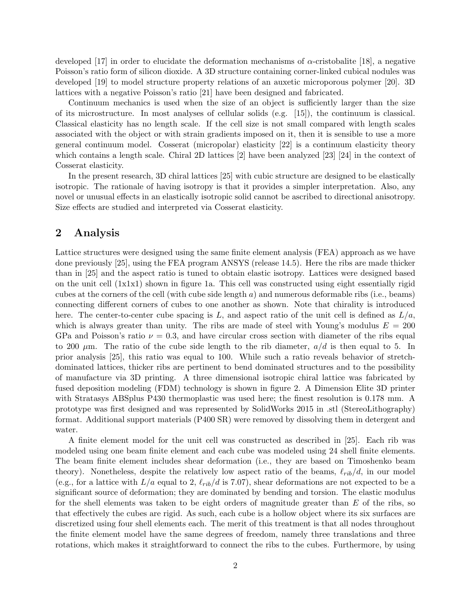developed [17] in order to elucidate the deformation mechanisms of  $\alpha$ -cristobalite [18], a negative Poisson's ratio form of silicon dioxide. A 3D structure containing corner-linked cubical nodules was developed [19] to model structure property relations of an auxetic microporous polymer [20]. 3D lattices with a negative Poisson's ratio [21] have been designed and fabricated.

Continuum mechanics is used when the size of an object is sufficiently larger than the size of its microstructure. In most analyses of cellular solids (e.g. [15]), the continuum is classical. Classical elasticity has no length scale. If the cell size is not small compared with length scales associated with the object or with strain gradients imposed on it, then it is sensible to use a more general continuum model. Cosserat (micropolar) elasticity [22] is a continuum elasticity theory which contains a length scale. Chiral 2D lattices [2] have been analyzed [23] [24] in the context of Cosserat elasticity.

In the present research, 3D chiral lattices [25] with cubic structure are designed to be elastically isotropic. The rationale of having isotropy is that it provides a simpler interpretation. Also, any novel or unusual effects in an elastically isotropic solid cannot be ascribed to directional anisotropy. Size effects are studied and interpreted via Cosserat elasticity.

# 2 Analysis

Lattice structures were designed using the same finite element analysis (FEA) approach as we have done previously [25], using the FEA program ANSYS (release 14.5). Here the ribs are made thicker than in [25] and the aspect ratio is tuned to obtain elastic isotropy. Lattices were designed based on the unit cell (1x1x1) shown in figure 1a. This cell was constructed using eight essentially rigid cubes at the corners of the cell (with cube side length *a*) and numerous deformable ribs (i.e., beams) connecting different corners of cubes to one another as shown. Note that chirality is introduced here. The center-to-center cube spacing is  $L$ , and aspect ratio of the unit cell is defined as  $L/a$ , which is always greater than unity. The ribs are made of steel with Young's modulus  $E = 200$ GPa and Poisson's ratio  $\nu = 0.3$ , and have circular cross section with diameter of the ribs equal to 200 *µ*m. The ratio of the cube side length to the rib diameter, *a/d* is then equal to 5. In prior analysis [25], this ratio was equal to 100. While such a ratio reveals behavior of stretchdominated lattices, thicker ribs are pertinent to bend dominated structures and to the possibility of manufacture via 3D printing. A three dimensional isotropic chiral lattice was fabricated by fused deposition modeling (FDM) technology is shown in figure 2. A Dimension Elite 3D printer with Stratasys ABSplus P430 thermoplastic was used here; the finest resolution is 0.178 mm. A prototype was first designed and was represented by SolidWorks 2015 in .stl (StereoLithography) format. Additional support materials (P400 SR) were removed by dissolving them in detergent and water.

A finite element model for the unit cell was constructed as described in [25]. Each rib was modeled using one beam finite element and each cube was modeled using 24 shell finite elements. The beam finite element includes shear deformation (i.e., they are based on Timoshenko beam theory). Nonetheless, despite the relatively low aspect ratio of the beams,  $\ell_{rib}/d$ , in our model (e.g., for a lattice with  $L/a$  equal to 2,  $\ell_{rib}/d$  is 7.07), shear deformations are not expected to be a significant source of deformation; they are dominated by bending and torsion. The elastic modulus for the shell elements was taken to be eight orders of magnitude greater than *E* of the ribs, so that effectively the cubes are rigid. As such, each cube is a hollow object where its six surfaces are discretized using four shell elements each. The merit of this treatment is that all nodes throughout the finite element model have the same degrees of freedom, namely three translations and three rotations, which makes it straightforward to connect the ribs to the cubes. Furthermore, by using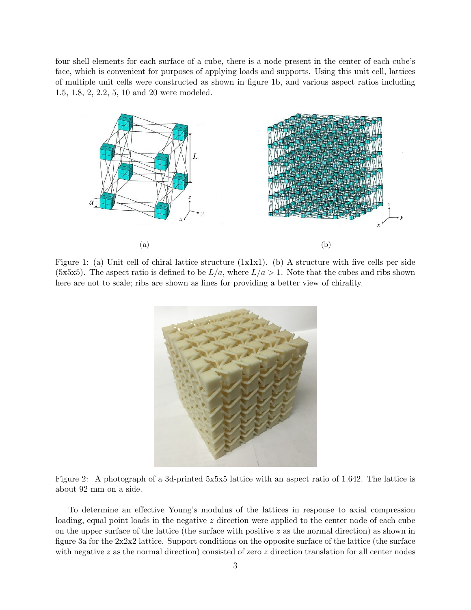four shell elements for each surface of a cube, there is a node present in the center of each cube's face, which is convenient for purposes of applying loads and supports. Using this unit cell, lattices of multiple unit cells were constructed as shown in figure 1b, and various aspect ratios including 1.5, 1.8, 2, 2.2, 5, 10 and 20 were modeled.



Figure 1: (a) Unit cell of chiral lattice structure (1x1x1). (b) A structure with five cells per side (5x5x5). The aspect ratio is defined to be  $L/a$ , where  $L/a > 1$ . Note that the cubes and ribs shown here are not to scale; ribs are shown as lines for providing a better view of chirality.





To determine an effective Young's modulus of the lattices in response to axial compression loading, equal point loads in the negative *z* direction were applied to the center node of each cube on the upper surface of the lattice (the surface with positive *z* as the normal direction) as shown in figure 3a for the 2x2x2 lattice. Support conditions on the opposite surface of the lattice (the surface with negative *z* as the normal direction) consisted of zero *z* direction translation for all center nodes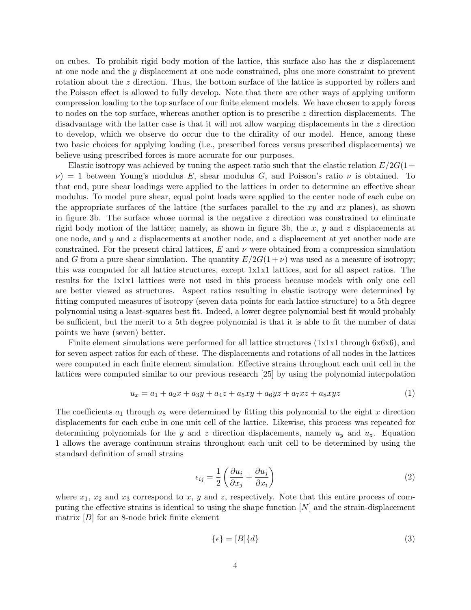on cubes. To prohibit rigid body motion of the lattice, this surface also has the *x* displacement at one node and the *y* displacement at one node constrained, plus one more constraint to prevent rotation about the *z* direction. Thus, the bottom surface of the lattice is supported by rollers and the Poisson effect is allowed to fully develop. Note that there are other ways of applying uniform compression loading to the top surface of our finite element models. We have chosen to apply forces to nodes on the top surface, whereas another option is to prescribe *z* direction displacements. The disadvantage with the latter case is that it will not allow warping displacements in the *z* direction to develop, which we observe do occur due to the chirality of our model. Hence, among these two basic choices for applying loading (i.e., prescribed forces versus prescribed displacements) we believe using prescribed forces is more accurate for our purposes.

Elastic isotropy was achieved by tuning the aspect ratio such that the elastic relation  $E/2G(1+$  $\nu$ ) = 1 between Young's modulus *E*, shear modulus *G*, and Poisson's ratio  $\nu$  is obtained. To that end, pure shear loadings were applied to the lattices in order to determine an effective shear modulus. To model pure shear, equal point loads were applied to the center node of each cube on the appropriate surfaces of the lattice (the surfaces parallel to the *xy* and *xz* planes), as shown in figure 3b. The surface whose normal is the negative *z* direction was constrained to eliminate rigid body motion of the lattice; namely, as shown in figure 3b, the *x*, *y* and *z* displacements at one node, and *y* and *z* displacements at another node, and *z* displacement at yet another node are constrained. For the present chiral lattices,  $E$  and  $\nu$  were obtained from a compression simulation and *G* from a pure shear simulation. The quantity  $E/2G(1+\nu)$  was used as a measure of isotropy; this was computed for all lattice structures, except 1x1x1 lattices, and for all aspect ratios. The results for the 1x1x1 lattices were not used in this process because models with only one cell are better viewed as structures. Aspect ratios resulting in elastic isotropy were determined by fitting computed measures of isotropy (seven data points for each lattice structure) to a 5th degree polynomial using a least-squares best fit. Indeed, a lower degree polynomial best fit would probably be sufficient, but the merit to a 5th degree polynomial is that it is able to fit the number of data points we have (seven) better.

Finite element simulations were performed for all lattice structures (1x1x1 through 6x6x6), and for seven aspect ratios for each of these. The displacements and rotations of all nodes in the lattices were computed in each finite element simulation. Effective strains throughout each unit cell in the lattices were computed similar to our previous research [25] by using the polynomial interpolation

$$
u_x = a_1 + a_2x + a_3y + a_4z + a_5xy + a_6yz + a_7xz + a_8xyz \tag{1}
$$

The coefficients  $a_1$  through  $a_8$  were determined by fitting this polynomial to the eight x direction displacements for each cube in one unit cell of the lattice. Likewise, this process was repeated for determining polynomials for the *y* and *z* direction displacements, namely *u<sup>y</sup>* and *uz*. Equation 1 allows the average continuum strains throughout each unit cell to be determined by using the standard definition of small strains

$$
\epsilon_{ij} = \frac{1}{2} \left( \frac{\partial u_i}{\partial x_j} + \frac{\partial u_j}{\partial x_i} \right) \tag{2}
$$

where  $x_1, x_2$  and  $x_3$  correspond to  $x, y$  and  $z$ , respectively. Note that this entire process of computing the effective strains is identical to using the shape function  $[N]$  and the strain-displacement matrix [*B*] for an 8-node brick finite element

$$
\{\epsilon\} = [B]\{d\} \tag{3}
$$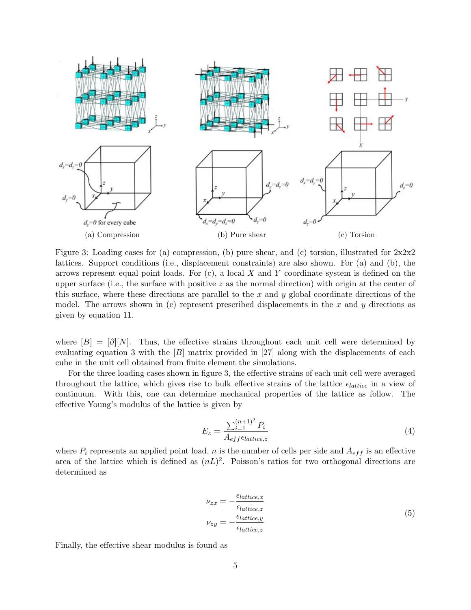

Figure 3: Loading cases for (a) compression, (b) pure shear, and (c) torsion, illustrated for  $2x2x2$ lattices. Support conditions (i.e., displacement constraints) are also shown. For (a) and (b), the arrows represent equal point loads. For (c), a local *X* and *Y* coordinate system is defined on the upper surface (i.e., the surface with positive *z* as the normal direction) with origin at the center of this surface, where these directions are parallel to the *x* and *y* global coordinate directions of the model. The arrows shown in (c) represent prescribed displacements in the *x* and *y* directions as given by equation 11.

where  $[B]=[{\partial}][N]$ . Thus, the effective strains throughout each unit cell were determined by evaluating equation 3 with the [*B*] matrix provided in [27] along with the displacements of each cube in the unit cell obtained from finite element the simulations.

For the three loading cases shown in figure 3, the effective strains of each unit cell were averaged throughout the lattice, which gives rise to bulk effective strains of the lattice  $\epsilon_{lattice}$  in a view of continuum. With this, one can determine mechanical properties of the lattice as follow. The effective Young's modulus of the lattice is given by

$$
E_z = \frac{\sum_{i=1}^{(n+1)^2} P_i}{A_{eff}\epsilon_{lattice,z}}
$$
\n
$$
\tag{4}
$$

where  $P_i$  represents an applied point load,  $n$  is the number of cells per side and  $A_{eff}$  is an effective area of the lattice which is defined as  $(nL)^2$ . Poisson's ratios for two orthogonal directions are determined as

$$
\nu_{zx} = -\frac{\epsilon_{lattice,x}}{\epsilon_{lattice,z}}
$$
  

$$
\nu_{zy} = -\frac{\epsilon_{lattice,y}}{\epsilon_{lattice,z}}
$$
 (5)

Finally, the effective shear modulus is found as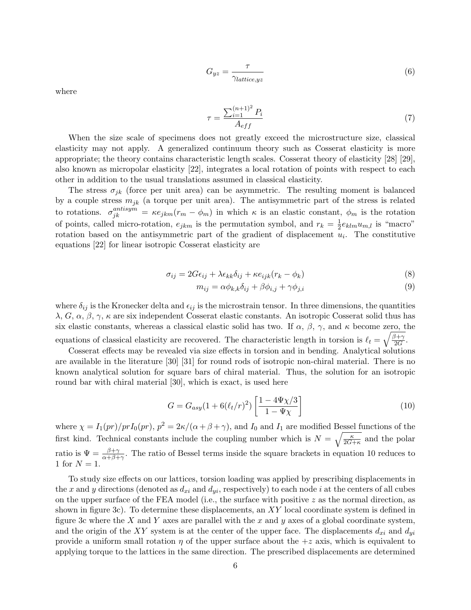$$
G_{yz} = \frac{\tau}{\gamma_{lattice, yz}}\tag{6}
$$

where

$$
\tau = \frac{\sum_{i=1}^{(n+1)^2} P_i}{A_{eff}} \tag{7}
$$

When the size scale of specimens does not greatly exceed the microstructure size, classical elasticity may not apply. A generalized continuum theory such as Cosserat elasticity is more appropriate; the theory contains characteristic length scales. Cosserat theory of elasticity [28] [29], also known as micropolar elasticity [22], integrates a local rotation of points with respect to each other in addition to the usual translations assumed in classical elasticity.

The stress  $\sigma_{jk}$  (force per unit area) can be asymmetric. The resulting moment is balanced by a couple stress *mjk* (a torque per unit area). The antisymmetric part of the stress is related to rotations.  $\sigma_{jk}^{antisym} = \kappa e_{jkm}(r_m - \phi_m)$  in which  $\kappa$  is an elastic constant,  $\phi_m$  is the rotation of points, called micro-rotation,  $e_{jkm}$  is the permutation symbol, and  $r_k = \frac{1}{2}e_{klm}u_{m,l}$  is "macro" rotation based on the antisymmetric part of the gradient of displacement  $u_i$ . The constitutive equations [22] for linear isotropic Cosserat elasticity are

$$
\sigma_{ij} = 2G\epsilon_{ij} + \lambda \epsilon_{kk}\delta_{ij} + \kappa e_{ijk}(r_k - \phi_k)
$$
\n(8)

$$
m_{ij} = \alpha \phi_{k,k} \delta_{ij} + \beta \phi_{i,j} + \gamma \phi_{j,i}
$$
\n
$$
(9)
$$

where  $\delta_{ij}$  is the Kronecker delta and  $\epsilon_{ij}$  is the microstrain tensor. In three dimensions, the quantities  $\lambda, G, \alpha, \beta, \gamma, \kappa$  are six independent Cosserat elastic constants. An isotropic Cosserat solid thus has six elastic constants, whereas a classical elastic solid has two. If  $\alpha$ ,  $\beta$ ,  $\gamma$ , and  $\kappa$  become zero, the equations of classical elasticity are recovered. The characteristic length in torsion is  $\ell_t = \sqrt{\frac{\beta + \gamma}{2G}}$ .

Cosserat effects may be revealed via size effects in torsion and in bending. Analytical solutions are available in the literature [30] [31] for round rods of isotropic non-chiral material. There is no known analytical solution for square bars of chiral material. Thus, the solution for an isotropic round bar with chiral material [30], which is exact, is used here

$$
G = G_{asy}(1 + 6(\ell_t/r)^2) \left[ \frac{1 - 4\Psi \chi/3}{1 - \Psi \chi} \right]
$$
 (10)

where  $\chi = I_1(pr)/prI_0(pr)$ ,  $p^2 = 2\kappa/(\alpha + \beta + \gamma)$ , and  $I_0$  and  $I_1$  are modified Bessel functions of the first kind. Technical constants include the coupling number which is  $N = \sqrt{\frac{\kappa}{2G+\kappa}}$  and the polar ratio is  $\Psi = \frac{\beta + \gamma}{\alpha + \beta + \gamma}$ . The ratio of Bessel terms inside the square brackets in equation 10 reduces to 1 for  $N = 1$ .

To study size effects on our lattices, torsion loading was applied by prescribing displacements in the x and y directions (denoted as  $d_{xi}$  and  $d_{yi}$ , respectively) to each node *i* at the centers of all cubes on the upper surface of the FEA model (i.e., the surface with positive *z* as the normal direction, as shown in figure 3c). To determine these displacements, an *XY* local coordinate system is defined in figure 3c where the *X* and *Y* axes are parallel with the *x* and *y* axes of a global coordinate system, and the origin of the *XY* system is at the center of the upper face. The displacements  $d_{xi}$  and  $d_{yi}$ provide a uniform small rotation  $\eta$  of the upper surface about the  $+z$  axis, which is equivalent to applying torque to the lattices in the same direction. The prescribed displacements are determined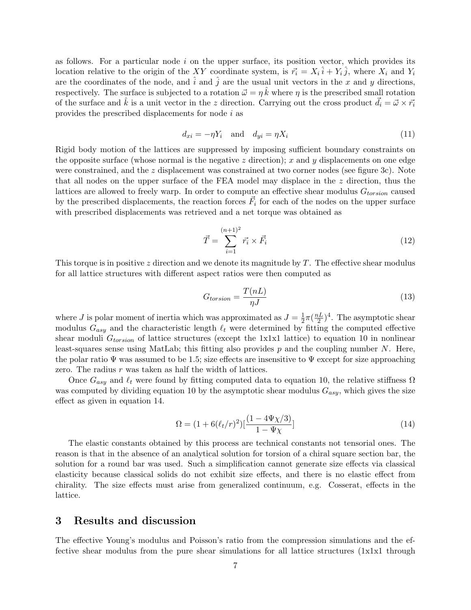as follows. For a particular node *i* on the upper surface, its position vector, which provides its location relative to the origin of the *XY* coordinate system, is  $\vec{r_i} = X_i \hat{i} + Y_i \hat{j}$ , where  $X_i$  and  $Y_i$ are the coordinates of the node, and  $\hat{i}$  and  $\hat{j}$  are the usual unit vectors in the x and y directions, respectively. The surface is subjected to a rotation  $\vec{\omega} = \eta \hat{k}$  where  $\eta$  is the prescribed small rotation of the surface and  $\hat{k}$  is a unit vector in the *z* direction. Carrying out the cross product  $\vec{d}_i = \vec{\omega} \times \vec{r}_i$ provides the prescribed displacements for node *i* as

$$
d_{xi} = -\eta Y_i \quad \text{and} \quad d_{yi} = \eta X_i \tag{11}
$$

Rigid body motion of the lattices are suppressed by imposing sufficient boundary constraints on the opposite surface (whose normal is the negative *z* direction); *x* and *y* displacements on one edge were constrained, and the *z* displacement was constrained at two corner nodes (see figure 3c). Note that all nodes on the upper surface of the FEA model may displace in the *z* direction, thus the lattices are allowed to freely warp. In order to compute an effective shear modulus  $G_{torsion}$  caused by the prescribed displacements, the reaction forces  $\vec{F}_i$  for each of the nodes on the upper surface with prescribed displacements was retrieved and a net torque was obtained as

$$
\vec{T} = \sum_{i=1}^{(n+1)^2} \vec{r_i} \times \vec{F_i}
$$
\n(12)

This torque is in positive  $z$  direction and we denote its magnitude by  $T$ . The effective shear modulus for all lattice structures with different aspect ratios were then computed as

$$
G_{torsion} = \frac{T(nL)}{\eta J} \tag{13}
$$

where *J* is polar moment of inertia which was approximated as  $J = \frac{1}{2}\pi(\frac{nL}{2})^4$ . The asymptotic shear modulus  $G_{asy}$  and the characteristic length  $\ell_t$  were determined by fitting the computed effective shear moduli *Gtorsion* of lattice structures (except the 1x1x1 lattice) to equation 10 in nonlinear least-squares sense using MatLab; this fitting also provides *p* and the coupling number *N*. Here, the polar ratio  $\Psi$  was assumed to be 1.5; size effects are insensitive to  $\Psi$  except for size approaching zero. The radius r was taken as half the width of lattices.

Once  $G_{asy}$  and  $\ell_t$  were found by fitting computed data to equation 10, the relative stiffness  $\Omega$ was computed by dividing equation 10 by the asymptotic shear modulus *Gasy*, which gives the size effect as given in equation 14.

$$
\Omega = (1 + 6(\ell_t/r)^2) \left[ \frac{(1 - 4\Psi \chi/3)}{1 - \Psi \chi} \right]
$$
\n(14)

The elastic constants obtained by this process are technical constants not tensorial ones. The reason is that in the absence of an analytical solution for torsion of a chiral square section bar, the solution for a round bar was used. Such a simplification cannot generate size effects via classical elasticity because classical solids do not exhibit size effects, and there is no elastic effect from chirality. The size effects must arise from generalized continuum, e.g. Cosserat, effects in the lattice.

#### 3 Results and discussion

The effective Young's modulus and Poisson's ratio from the compression simulations and the effective shear modulus from the pure shear simulations for all lattice structures (1x1x1 through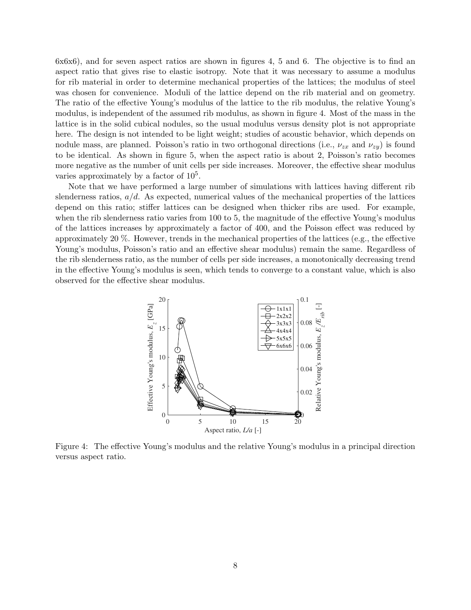6x6x6), and for seven aspect ratios are shown in figures 4, 5 and 6. The objective is to find an aspect ratio that gives rise to elastic isotropy. Note that it was necessary to assume a modulus for rib material in order to determine mechanical properties of the lattices; the modulus of steel was chosen for convenience. Moduli of the lattice depend on the rib material and on geometry. The ratio of the effective Young's modulus of the lattice to the rib modulus, the relative Young's modulus, is independent of the assumed rib modulus, as shown in figure 4. Most of the mass in the lattice is in the solid cubical nodules, so the usual modulus versus density plot is not appropriate here. The design is not intended to be light weight; studies of acoustic behavior, which depends on nodule mass, are planned. Poisson's ratio in two orthogonal directions (i.e.,  $\nu_{zx}$  and  $\nu_{zy}$ ) is found to be identical. As shown in figure 5, when the aspect ratio is about 2, Poisson's ratio becomes more negative as the number of unit cells per side increases. Moreover, the effective shear modulus varies approximately by a factor of  $10<sup>5</sup>$ .

Note that we have performed a large number of simulations with lattices having different rib slenderness ratios, *a/d*. As expected, numerical values of the mechanical properties of the lattices depend on this ratio; stiffer lattices can be designed when thicker ribs are used. For example, when the rib slenderness ratio varies from  $100$  to 5, the magnitude of the effective Young's modulus of the lattices increases by approximately a factor of 400, and the Poisson effect was reduced by approximately 20  $\%$ . However, trends in the mechanical properties of the lattices (e.g., the effective Young's modulus, Poisson's ratio and an effective shear modulus) remain the same. Regardless of the rib slenderness ratio, as the number of cells per side increases, a monotonically decreasing trend in the effective Young's modulus is seen, which tends to converge to a constant value, which is also observed for the effective shear modulus.



Figure 4: The effective Young's modulus and the relative Young's modulus in a principal direction versus aspect ratio.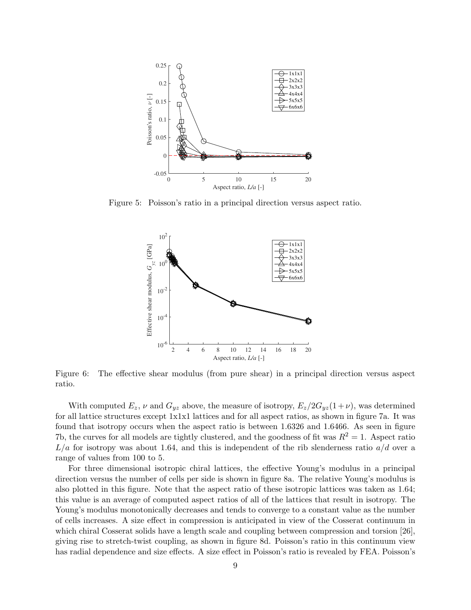

Figure 5: Poisson's ratio in a principal direction versus aspect ratio.



Figure 6: The effective shear modulus (from pure shear) in a principal direction versus aspect ratio.

With computed  $E_z$ ,  $\nu$  and  $G_{yz}$  above, the measure of isotropy,  $E_z/2G_{yz}(1+\nu)$ , was determined for all lattice structures except 1x1x1 lattices and for all aspect ratios, as shown in figure 7a. It was found that isotropy occurs when the aspect ratio is between 1.6326 and 1.6466. As seen in figure 7b, the curves for all models are tightly clustered, and the goodness of fit was  $R^2 = 1$ . Aspect ratio *L/a* for isotropy was about 1.64, and this is independent of the rib slenderness ratio *a/d* over a range of values from 100 to 5.

For three dimensional isotropic chiral lattices, the effective Young's modulus in a principal direction versus the number of cells per side is shown in figure 8a. The relative Young's modulus is also plotted in this figure. Note that the aspect ratio of these isotropic lattices was taken as 1.64; this value is an average of computed aspect ratios of all of the lattices that result in isotropy. The Young's modulus monotonically decreases and tends to converge to a constant value as the number of cells increases. A size effect in compression is anticipated in view of the Cosserat continuum in which chiral Cosserat solids have a length scale and coupling between compression and torsion [26], giving rise to stretch-twist coupling, as shown in figure 8d. Poisson's ratio in this continuum view has radial dependence and size effects. A size effect in Poisson's ratio is revealed by FEA. Poisson's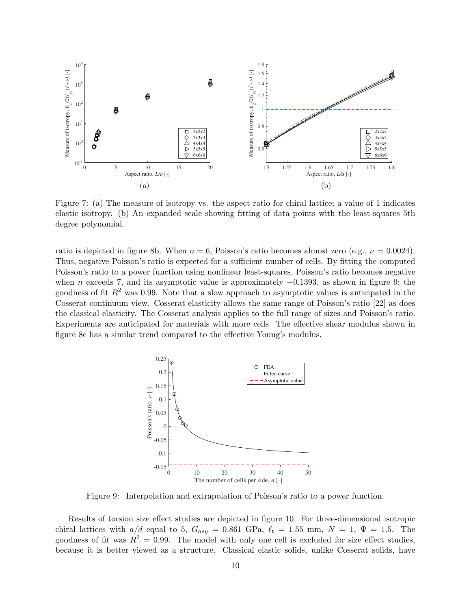

Figure 7: (a) The measure of isotropy vs. the aspect ratio for chiral lattice; a value of 1 indicates elastic isotropy. (b) An expanded scale showing fitting of data points with the least-squares 5th degree polynomial.

ratio is depicted in figure 8b. When  $n = 6$ , Poisson's ratio becomes almost zero (e.g.,  $\nu = 0.0024$ ). Thus, negative Poisson's ratio is expected for a sufficient number of cells. By fitting the computed Poisson's ratio to a power function using nonlinear least-squares, Poisson's ratio becomes negative when *n* exceeds 7, and its asymptotic value is approximately  $-0.1393$ , as shown in figure 9; the goodness of fit  $R^2$  was 0.99. Note that a slow approach to asymptotic values is anticipated in the Cosserat continuum view. Cosserat elasticity allows the same range of Poisson's ratio [22] as does the classical elasticity. The Cosserat analysis applies to the full range of sizes and Poisson's ratio. Experiments are anticipated for materials with more cells. The effective shear modulus shown in figure 8c has a similar trend compared to the effective Young's modulus.



Figure 9: Interpolation and extrapolation of Poisson's ratio to a power function.

Results of torsion size effect studies are depicted in figure 10. For three-dimensional isotropic chiral lattices with  $a/d$  equal to 5,  $G_{asy} = 0.861$  GPa,  $\ell_t = 1.55$  mm,  $N = 1$ ,  $\Psi = 1.5$ . The goodness of fit was  $R^2 = 0.99$ . The model with only one cell is excluded for size effect studies, because it is better viewed as a structure. Classical elastic solids, unlike Cosserat solids, have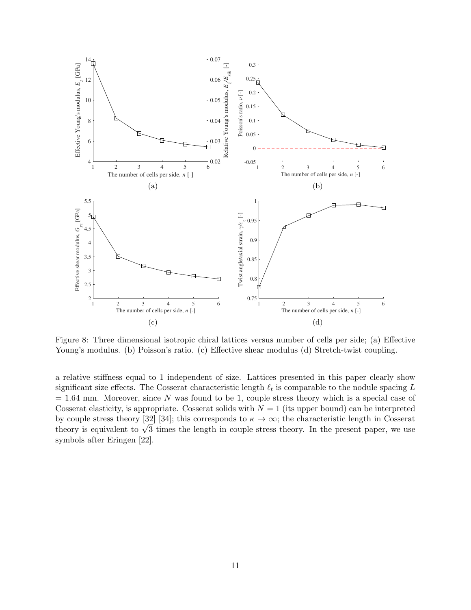

Figure 8: Three dimensional isotropic chiral lattices versus number of cells per side; (a) Effective Young's modulus. (b) Poisson's ratio. (c) Effective shear modulus (d) Stretch-twist coupling.

a relative stiffness equal to 1 independent of size. Lattices presented in this paper clearly show significant size effects. The Cosserat characteristic length  $\ell_t$  is comparable to the nodule spacing *L*  $= 1.64$  mm. Moreover, since N was found to be 1, couple stress theory which is a special case of Cosserat elasticity, is appropriate. Cosserat solids with  $N = 1$  (its upper bound) can be interpreted by couple stress theory [32] [34]; this corresponds to  $\kappa \to \infty$ ; the characteristic length in Cosserat theory is equivalent to  $\sqrt{3}$  times the length in couple stress theory. In the present paper, we use symbols after Eringen [22].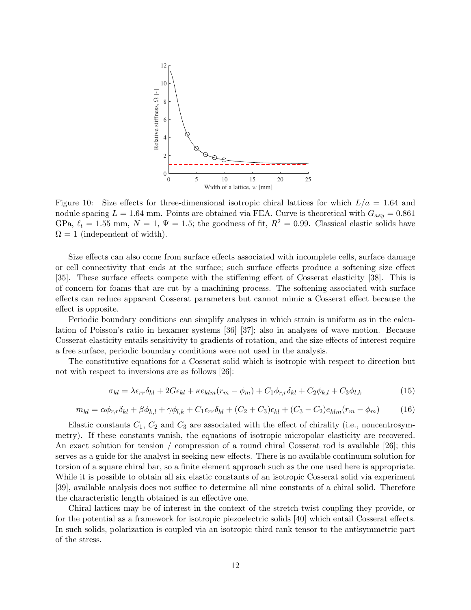

Figure 10: Size effects for three-dimensional isotropic chiral lattices for which  $L/a = 1.64$  and nodule spacing  $L = 1.64$  mm. Points are obtained via FEA. Curve is theoretical with  $G_{asy} = 0.861$ GPa,  $\ell_t = 1.55$  mm,  $N = 1$ ,  $\Psi = 1.5$ ; the goodness of fit,  $R^2 = 0.99$ . Classical elastic solids have  $\Omega = 1$  (independent of width).

Size effects can also come from surface effects associated with incomplete cells, surface damage or cell connectivity that ends at the surface; such surface effects produce a softening size effect [35]. These surface effects compete with the stiffening effect of Cosserat elasticity [38]. This is of concern for foams that are cut by a machining process. The softening associated with surface effects can reduce apparent Cosserat parameters but cannot mimic a Cosserat effect because the effect is opposite.

Periodic boundary conditions can simplify analyses in which strain is uniform as in the calculation of Poisson's ratio in hexamer systems [36] [37]; also in analyses of wave motion. Because Cosserat elasticity entails sensitivity to gradients of rotation, and the size effects of interest require a free surface, periodic boundary conditions were not used in the analysis.

The constitutive equations for a Cosserat solid which is isotropic with respect to direction but not with respect to inversions are as follows [26]:

$$
\sigma_{kl} = \lambda \epsilon_{rr} \delta_{kl} + 2G \epsilon_{kl} + \kappa e_{klm} (r_m - \phi_m) + C_1 \phi_{r,r} \delta_{kl} + C_2 \phi_{k,l} + C_3 \phi_{l,k}
$$
(15)

$$
m_{kl} = \alpha \phi_{r,r} \delta_{kl} + \beta \phi_{k,l} + \gamma \phi_{l,k} + C_1 \epsilon_{rr} \delta_{kl} + (C_2 + C_3)\epsilon_{kl} + (C_3 - C_2)e_{klm}(r_m - \phi_m)
$$
(16)

Elastic constants  $C_1$ ,  $C_2$  and  $C_3$  are associated with the effect of chirality (i.e., noncentrosymmetry). If these constants vanish, the equations of isotropic micropolar elasticity are recovered. An exact solution for tension / compression of a round chiral Cosserat rod is available [26]; this serves as a guide for the analyst in seeking new effects. There is no available continuum solution for torsion of a square chiral bar, so a finite element approach such as the one used here is appropriate. While it is possible to obtain all six elastic constants of an isotropic Cosserat solid via experiment [39], available analysis does not suffice to determine all nine constants of a chiral solid. Therefore the characteristic length obtained is an effective one.

Chiral lattices may be of interest in the context of the stretch-twist coupling they provide, or for the potential as a framework for isotropic piezoelectric solids [40] which entail Cosserat effects. In such solids, polarization is coupled via an isotropic third rank tensor to the antisymmetric part of the stress.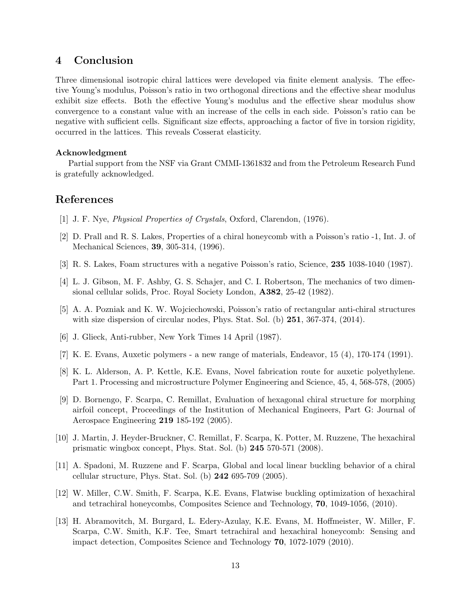# 4 Conclusion

Three dimensional isotropic chiral lattices were developed via finite element analysis. The effective Young's modulus, Poisson's ratio in two orthogonal directions and the effective shear modulus exhibit size effects. Both the effective Young's modulus and the effective shear modulus show convergence to a constant value with an increase of the cells in each side. Poisson's ratio can be negative with sufficient cells. Significant size effects, approaching a factor of five in torsion rigidity, occurred in the lattices. This reveals Cosserat elasticity.

#### Acknowledgment

Partial support from the NSF via Grant CMMI-1361832 and from the Petroleum Research Fund is gratefully acknowledged.

## References

- [1] J. F. Nye, *Physical Properties of Crystals*, Oxford, Clarendon, (1976).
- [2] D. Prall and R. S. Lakes, Properties of a chiral honeycomb with a Poisson's ratio -1, Int. J. of Mechanical Sciences, 39, 305-314, (1996).
- [3] R. S. Lakes, Foam structures with a negative Poisson's ratio, Science, 235 1038-1040 (1987).
- [4] L. J. Gibson, M. F. Ashby, G. S. Schajer, and C. I. Robertson, The mechanics of two dimensional cellular solids, Proc. Royal Society London, A382, 25-42 (1982).
- [5] A. A. Pozniak and K. W. Wojciechowski, Poisson's ratio of rectangular anti-chiral structures with size dispersion of circular nodes, Phys. Stat. Sol. (b) 251, 367-374, (2014).
- [6] J. Glieck, Anti-rubber, New York Times 14 April (1987).
- [7] K. E. Evans, Auxetic polymers a new range of materials, Endeavor, 15 (4), 170-174 (1991).
- [8] K. L. Alderson, A. P. Kettle, K.E. Evans, Novel fabrication route for auxetic polyethylene. Part 1. Processing and microstructure Polymer Engineering and Science, 45, 4, 568-578, (2005)
- [9] D. Bornengo, F. Scarpa, C. Remillat, Evaluation of hexagonal chiral structure for morphing airfoil concept, Proceedings of the Institution of Mechanical Engineers, Part G: Journal of Aerospace Engineering 219 185-192 (2005).
- [10] J. Martin, J. Heyder-Bruckner, C. Remillat, F. Scarpa, K. Potter, M. Ruzzene, The hexachiral prismatic wingbox concept, Phys. Stat. Sol. (b) 245 570-571 (2008).
- [11] A. Spadoni, M. Ruzzene and F. Scarpa, Global and local linear buckling behavior of a chiral cellular structure, Phys. Stat. Sol. (b) 242 695-709 (2005).
- [12] W. Miller, C.W. Smith, F. Scarpa, K.E. Evans, Flatwise buckling optimization of hexachiral and tetrachiral honeycombs, Composites Science and Technology, 70, 1049-1056, (2010).
- [13] H. Abramovitch, M. Burgard, L. Edery-Azulay, K.E. Evans, M. Hoffmeister, W. Miller, F. Scarpa, C.W. Smith, K.F. Tee, Smart tetrachiral and hexachiral honeycomb: Sensing and impact detection, Composites Science and Technology 70, 1072-1079 (2010).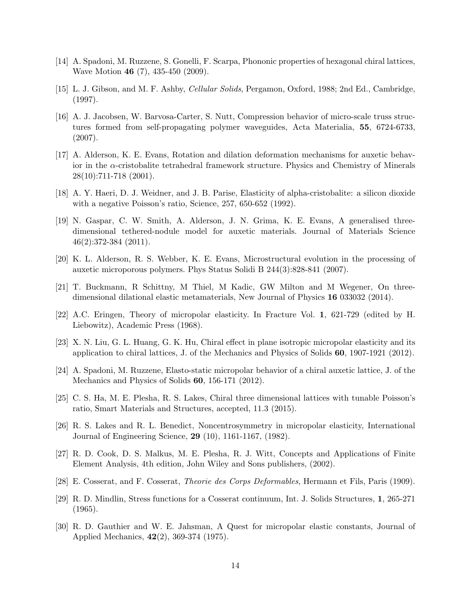- [14] A. Spadoni, M. Ruzzene, S. Gonelli, F. Scarpa, Phononic properties of hexagonal chiral lattices, Wave Motion 46 (7), 435-450 (2009).
- [15] L. J. Gibson, and M. F. Ashby, *Cellular Solids*, Pergamon, Oxford, 1988; 2nd Ed., Cambridge, (1997).
- [16] A. J. Jacobsen, W. Barvosa-Carter, S. Nutt, Compression behavior of micro-scale truss structures formed from self-propagating polymer waveguides, Acta Materialia, 55, 6724-6733, (2007).
- [17] A. Alderson, K. E. Evans, Rotation and dilation deformation mechanisms for auxetic behavior in the  $\alpha$ -cristobalite tetrahedral framework structure. Physics and Chemistry of Minerals 28(10):711-718 (2001).
- [18] A. Y. Haeri, D. J. Weidner, and J. B. Parise, Elasticity of alpha-cristobalite: a silicon dioxide with a negative Poisson's ratio, Science, 257, 650-652 (1992).
- [19] N. Gaspar, C. W. Smith, A. Alderson, J. N. Grima, K. E. Evans, A generalised threedimensional tethered-nodule model for auxetic materials. Journal of Materials Science 46(2):372-384 (2011).
- [20] K. L. Alderson, R. S. Webber, K. E. Evans, Microstructural evolution in the processing of auxetic microporous polymers. Phys Status Solidi B 244(3):828-841 (2007).
- [21] T. Buckmann, R Schittny, M Thiel, M Kadic, GW Milton and M Wegener, On threedimensional dilational elastic metamaterials, New Journal of Physics 16 033032 (2014).
- [22] A.C. Eringen, Theory of micropolar elasticity. In Fracture Vol. 1, 621-729 (edited by H. Liebowitz), Academic Press (1968).
- [23] X. N. Liu, G. L. Huang, G. K. Hu, Chiral effect in plane isotropic micropolar elasticity and its application to chiral lattices, J. of the Mechanics and Physics of Solids 60, 1907-1921 (2012).
- [24] A. Spadoni, M. Ruzzene, Elasto-static micropolar behavior of a chiral auxetic lattice, J. of the Mechanics and Physics of Solids 60, 156-171 (2012).
- [25] C. S. Ha, M. E. Plesha, R. S. Lakes, Chiral three dimensional lattices with tunable Poisson's ratio, Smart Materials and Structures, accepted, 11.3 (2015).
- [26] R. S. Lakes and R. L. Benedict, Noncentrosymmetry in micropolar elasticity, International Journal of Engineering Science, 29 (10), 1161-1167, (1982).
- [27] R. D. Cook, D. S. Malkus, M. E. Plesha, R. J. Witt, Concepts and Applications of Finite Element Analysis, 4th edition, John Wiley and Sons publishers, (2002).
- [28] E. Cosserat, and F. Cosserat, *Theorie des Corps Deformables*, Hermann et Fils, Paris (1909).
- [29] R. D. Mindlin, Stress functions for a Cosserat continuum, Int. J. Solids Structures, 1, 265-271  $(1965).$
- [30] R. D. Gauthier and W. E. Jahsman, A Quest for micropolar elastic constants, Journal of Applied Mechanics, 42(2), 369-374 (1975).